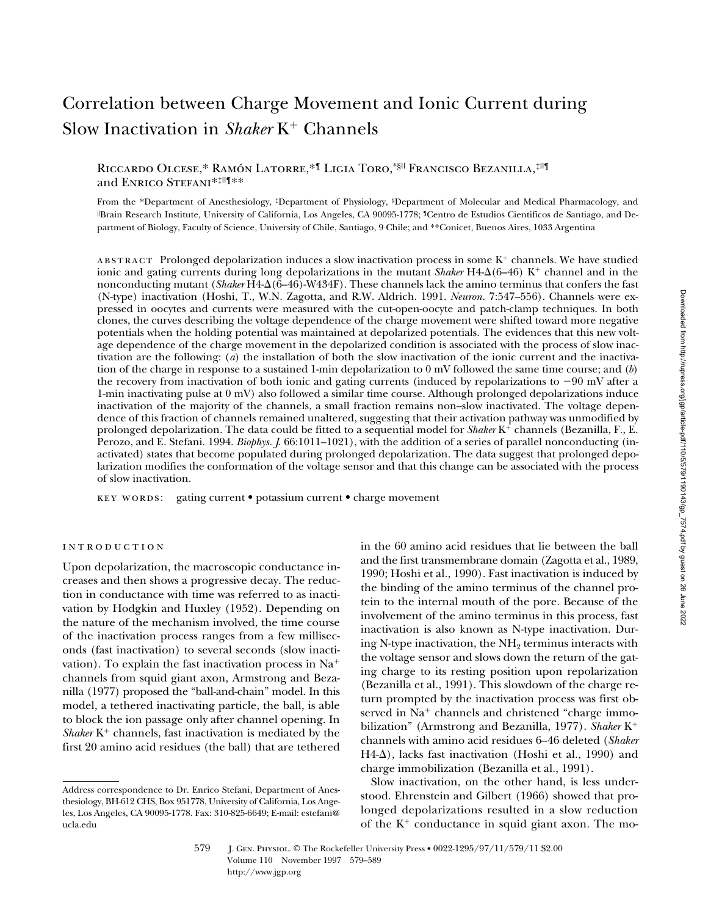# Correlation between Charge Movement and Ionic Current during Slow Inactivation in *Shaker* K<sup>+</sup> Channels

# Riccardo Olcese,\* Ramón Latorre,\*¶ Ligia Toro,\*§|| Francisco Bezanilla,‡||¶ and Enrico Stefani\*‡||¶\*\*

From the \*Department of Anesthesiology, ‡Department of Physiology, §Department of Molecular and Medical Pharmacology, and ||Brain Research Institute, University of California, Los Angeles, CA 90095-1778; ¶Centro de Estudios Cientificos de Santiago, and Department of Biology, Faculty of Science, University of Chile, Santiago, 9 Chile; and \*\*Conicet, Buenos Aires, 1033 Argentina

ABSTRACT Prolonged depolarization induces a slow inactivation process in some  $K^+$  channels. We have studied ionic and gating currents during long depolarizations in the mutant *Shaker*  $H4-\Delta(6-46)$  K<sup>+</sup> channel and in the nonconducting mutant (*Shaker* H4- $\Delta$ (6–46)-W434F). These channels lack the amino terminus that confers the fast (N-type) inactivation (Hoshi, T., W.N. Zagotta, and R.W. Aldrich. 1991. *Neuron.* 7:547–556). Channels were expressed in oocytes and currents were measured with the cut-open-oocyte and patch-clamp techniques. In both clones, the curves describing the voltage dependence of the charge movement were shifted toward more negative potentials when the holding potential was maintained at depolarized potentials. The evidences that this new voltage dependence of the charge movement in the depolarized condition is associated with the process of slow inactivation are the following: (*a*) the installation of both the slow inactivation of the ionic current and the inactivation of the charge in response to a sustained 1-min depolarization to 0 mV followed the same time course; and (*b*) the recovery from inactivation of both ionic and gating currents (induced by repolarizations to  $-90$  mV after a 1-min inactivating pulse at 0 mV) also followed a similar time course. Although prolonged depolarizations induce inactivation of the majority of the channels, a small fraction remains non–slow inactivated. The voltage dependence of this fraction of channels remained unaltered, suggesting that their activation pathway was unmodified by prolonged depolarization. The data could be fitted to a sequential model for *Shaker* K<sup>+</sup> channels (Bezanilla, F., E. Perozo, and E. Stefani. 1994. *Biophys. J*. 66:1011–1021), with the addition of a series of parallel nonconducting (inactivated) states that become populated during prolonged depolarization. The data suggest that prolonged depolarization modifies the conformation of the voltage sensor and that this change can be associated with the process of slow inactivation.

key words: gating current • potassium current • charge movement

#### introduction

Upon depolarization, the macroscopic conductance increases and then shows a progressive decay. The reduction in conductance with time was referred to as inactivation by Hodgkin and Huxley (1952). Depending on the nature of the mechanism involved, the time course of the inactivation process ranges from a few milliseconds (fast inactivation) to several seconds (slow inactivation). To explain the fast inactivation process in  $Na<sup>+</sup>$ channels from squid giant axon, Armstrong and Bezanilla (1977) proposed the "ball-and-chain" model. In this model, a tethered inactivating particle, the ball, is able to block the ion passage only after channel opening. In *Shaker*  $K^+$  channels, fast inactivation is mediated by the first 20 amino acid residues (the ball) that are tethered

in the 60 amino acid residues that lie between the ball and the first transmembrane domain (Zagotta et al., 1989, 1990; Hoshi et al., 1990). Fast inactivation is induced by the binding of the amino terminus of the channel protein to the internal mouth of the pore. Because of the involvement of the amino terminus in this process, fast inactivation is also known as N-type inactivation. During N-type inactivation, the  $NH<sub>2</sub>$  terminus interacts with the voltage sensor and slows down the return of the gating charge to its resting position upon repolarization (Bezanilla et al., 1991). This slowdown of the charge return prompted by the inactivation process was first observed in Na<sup>+</sup> channels and christened "charge immobilization" (Armstrong and Bezanilla, 1977). *Shaker* K<sup>+</sup> channels with amino acid residues 6–46 deleted (*Shaker*  $H4-\Delta$ ), lacks fast inactivation (Hoshi et al., 1990) and charge immobilization (Bezanilla et al., 1991).

Slow inactivation, on the other hand, is less understood. Ehrenstein and Gilbert (1966) showed that prolonged depolarizations resulted in a slow reduction of the  $K^+$  conductance in squid giant axon. The mo-

579 **J. GEN. PHYSIOL. © The Rockefeller University Press • 0022-1295/97/11/579/11 \$2.00** Volume 110 November 1997 579–589 http://www.jgp.org

Address correspondence to Dr. Enrico Stefani, Department of Anesthesiology, BH-612 CHS, Box 951778, University of California, Los Angeles, Los Angeles, CA 90095-1778. Fax: 310-825-6649; E-mail: estefani@ ucla.edu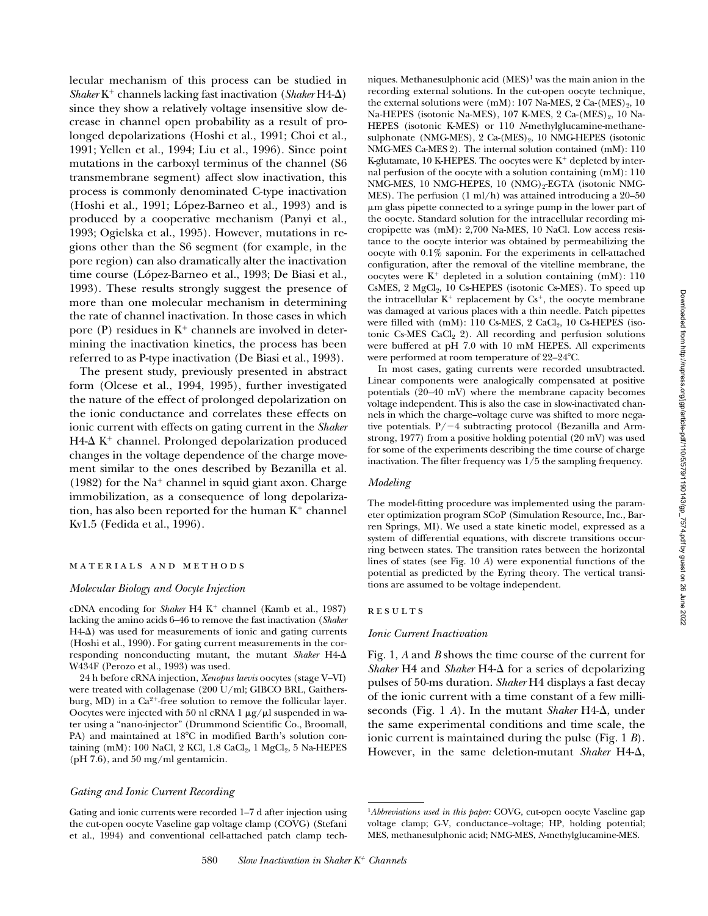lecular mechanism of this process can be studied in *Shaker* K<sup>1</sup> channels lacking fast inactivation (*Shaker* H4-D) since they show a relatively voltage insensitive slow decrease in channel open probability as a result of prolonged depolarizations (Hoshi et al., 1991; Choi et al., 1991; Yellen et al., 1994; Liu et al., 1996). Since point mutations in the carboxyl terminus of the channel (S6 transmembrane segment) affect slow inactivation, this process is commonly denominated C-type inactivation (Hoshi et al., 1991; López-Barneo et al., 1993) and is produced by a cooperative mechanism (Panyi et al., 1993; Ogielska et al., 1995). However, mutations in regions other than the S6 segment (for example, in the pore region) can also dramatically alter the inactivation time course (López-Barneo et al., 1993; De Biasi et al., 1993). These results strongly suggest the presence of more than one molecular mechanism in determining the rate of channel inactivation. In those cases in which pore (P) residues in  $K^+$  channels are involved in determining the inactivation kinetics, the process has been referred to as P-type inactivation (De Biasi et al., 1993).

The present study, previously presented in abstract form (Olcese et al., 1994, 1995), further investigated the nature of the effect of prolonged depolarization on the ionic conductance and correlates these effects on ionic current with effects on gating current in the *Shaker*  $H4-\Delta K^+$  channel. Prolonged depolarization produced changes in the voltage dependence of the charge movement similar to the ones described by Bezanilla et al. (1982) for the  $Na<sup>+</sup>$  channel in squid giant axon. Charge immobilization, as a consequence of long depolarization, has also been reported for the human  $K^+$  channel Kv1.5 (Fedida et al., 1996).

## materials and methods

#### *Molecular Biology and Oocyte Injection*

cDNA encoding for *Shaker* H4 K<sup>+</sup> channel (Kamb et al., 1987) lacking the amino acids 6–46 to remove the fast inactivation (*Shaker*  $H4-\Delta$ ) was used for measurements of ionic and gating currents (Hoshi et al., 1990). For gating current measurements in the corresponding nonconducting mutant, the mutant *Shaker* H4-D W434F (Perozo et al., 1993) was used.

24 h before cRNA injection, *Xenopus laevis* oocytes (stage V–VI) were treated with collagenase (200 U/ml; GIBCO BRL, Gaithersburg, MD) in a  $Ca^{2+}$ -free solution to remove the follicular layer. Oocytes were injected with 50 nl cRNA  $1 \mu g / \mu l$  suspended in water using a "nano-injector" (Drummond Scientific Co., Broomall, PA) and maintained at 18°C in modified Barth's solution containing (mM): 100 NaCl, 2 KCl, 1.8 CaCl<sub>2</sub>, 1 MgCl<sub>2</sub>, 5 Na-HEPES (pH 7.6), and 50 mg/ml gentamicin.

## *Gating and Ionic Current Recording*

Gating and ionic currents were recorded 1–7 d after injection using the cut-open oocyte Vaseline gap voltage clamp (COVG) (Stefani et al., 1994) and conventional cell-attached patch clamp techniques. Methanesulphonic acid  $(MES)^1$  was the main anion in the recording external solutions. In the cut-open oocyte technique, the external solutions were (mM):  $107$  Na-MES,  $2$  Ca-(MES)<sub>2</sub>, 10 Na-HEPES (isotonic Na-MES),  $107$  K-MES,  $2$  Ca-(MES)<sub>2</sub>,  $10$  Na-HEPES (isotonic K-MES) or 110 *N*-methylglucamine-methanesulphonate (NMG-MES),  $2 \text{ Ca-(MES)}_2$ ,  $10 \text{ NMG-HEPES}$  (isotonic NMG-MES Ca-MES 2). The internal solution contained (mM): 110 K-glutamate, 10 K-HEPES. The oocytes were  $K^+$  depleted by internal perfusion of the oocyte with a solution containing (mM): 110 NMG-MES, 10 NMG-HEPES, 10  $(NMG)_{2}$ -EGTA (isotonic NMG-MES). The perfusion  $(1 \text{ ml/h})$  was attained introducing a 20–50 mm glass pipette connected to a syringe pump in the lower part of the oocyte. Standard solution for the intracellular recording micropipette was (mM): 2,700 Na-MES, 10 NaCl. Low access resistance to the oocyte interior was obtained by permeabilizing the oocyte with 0.1% saponin. For the experiments in cell-attached configuration, after the removal of the vitelline membrane, the oocytes were  $K^+$  depleted in a solution containing  $(mM)$ : 110 CsMES, 2 MgCl<sub>2</sub>, 10 Cs-HEPES (isotonic Cs-MES). To speed up the intracellular  $K^+$  replacement by  $Cs^+$ , the oocyte membrane was damaged at various places with a thin needle. Patch pipettes were filled with  $(mM)$ : 110 Cs-MES, 2 CaCl<sub>2</sub>, 10 Cs-HEPES (isotonic Cs-MES CaCl<sub>2</sub> 2). All recording and perfusion solutions were buffered at pH 7.0 with 10 mM HEPES. All experiments were performed at room temperature of 22–24°C.

In most cases, gating currents were recorded unsubtracted. Linear components were analogically compensated at positive potentials (20–40 mV) where the membrane capacity becomes voltage independent. This is also the case in slow-inactivated channels in which the charge–voltage curve was shifted to more negative potentials.  $P/-4$  subtracting protocol (Bezanilla and Armstrong, 1977) from a positive holding potential (20 mV) was used for some of the experiments describing the time course of charge inactivation. The filter frequency was 1/5 the sampling frequency.

## *Modeling*

The model-fitting procedure was implemented using the parameter optimization program SCoP (Simulation Resource, Inc., Barren Springs, MI). We used a state kinetic model, expressed as a system of differential equations, with discrete transitions occurring between states. The transition rates between the horizontal lines of states (see Fig. 10 *A*) were exponential functions of the potential as predicted by the Eyring theory. The vertical transitions are assumed to be voltage independent.

## **RESULTS**

## *Ionic Current Inactivation*

Fig. 1, *A* and *B* shows the time course of the current for *Shaker* H4 and *Shaker* H4- $\Delta$  for a series of depolarizing pulses of 50-ms duration. *Shaker* H4 displays a fast decay of the ionic current with a time constant of a few milliseconds (Fig. 1 *A*). In the mutant *Shaker*  $H4-\Delta$ , under the same experimental conditions and time scale, the ionic current is maintained during the pulse (Fig. 1 *B*). However, in the same deletion-mutant *Shaker* H4- $\Delta$ ,

<sup>1</sup>*Abbreviations used in this paper:* COVG, cut-open oocyte Vaseline gap voltage clamp; G-V, conductance–voltage; HP, holding potential; MES, methanesulphonic acid; NMG-MES, *N*-methylglucamine-MES.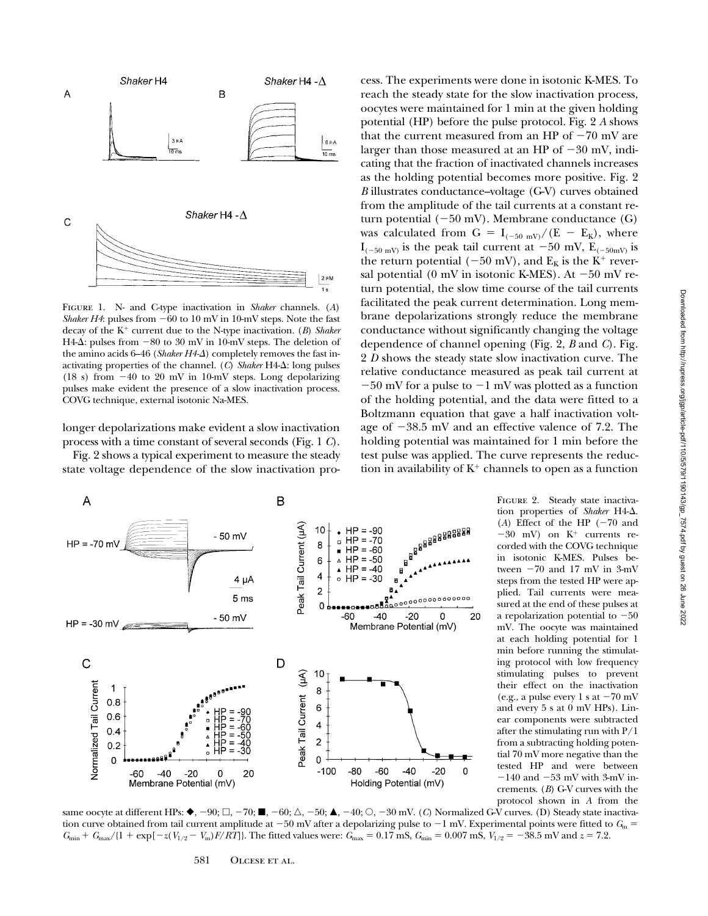

Figure 1. N- and C-type inactivation in *Shaker* channels. (*A*) *Shaker H4*: pulses from  $-60$  to 10 mV in 10-mV steps. Note the fast decay of the K<sup>+</sup> current due to the N-type inactivation. (*B*) *Shaker* H4- $\Delta$ : pulses from  $-80$  to 30 mV in 10-mV steps. The deletion of the amino acids 6–46 (*Shaker H4-* $\Delta$ ) completely removes the fast inactivating properties of the channel.  $(C)$  *Shaker*  $H4-\Delta$ : long pulses (18 s) from  $-40$  to 20 mV in 10-mV steps. Long depolarizing pulses make evident the presence of a slow inactivation process. COVG technique, external isotonic Na-MES.

longer depolarizations make evident a slow inactivation process with a time constant of several seconds (Fig. 1 *C*).

Fig. 2 shows a typical experiment to measure the steady state voltage dependence of the slow inactivation pro-





FIGURE 2. Steady state inactivation properties of *Shaker* H4-D. (*A*) Effect of the HP  $(-70 \text{ and }$  $-30$  mV) on  $K^+$  currents recorded with the COVG technique in isotonic K-MES. Pulses between  $-70$  and 17 mV in 3-mV steps from the tested HP were applied. Tail currents were measured at the end of these pulses at a repolarization potential to  $-50$ mV. The oocyte was maintained at each holding potential for 1 min before running the stimulating protocol with low frequency stimulating pulses to prevent their effect on the inactivation (e.g., a pulse every 1 s at  $-70$  mV and every 5 s at 0 mV HPs). Linear components were subtracted after the stimulating run with P/1 from a subtracting holding potential 70 mV more negative than the tested HP and were between  $-140$  and  $-53$  mV with 3-mV increments. (*B*) G-V curves with the protocol shown in *A* from the

same oocyte at different HPs:  $\blacklozenge$ ,  $-90$ ;  $\Box$ ,  $-70$ ;  $\blacksquare$ ,  $-60$ ;  $\triangle$ ,  $-50$ ;  $\blacktriangle$ ,  $-40$ ;  $\bigcirc$ ,  $-30$  mV. (*C*) Normalized G-V curves. (D) Steady state inactivation curve obtained from tail current amplitude at  $-50$  mV after a depolarizing pulse to  $-1$  mV. Experimental points were fitted to  $G_m$  $G_{\text{min}} + G_{\text{max}}/(1 + \exp[-z(V_{1/2} - V_{\text{m}})F/RT]$ . The fitted values were:  $G_{\text{max}} = 0.17$  mS,  $G_{\text{min}} = 0.007$  mS,  $V_{1/2} = -38.5$  mV and  $z = 7.2$ .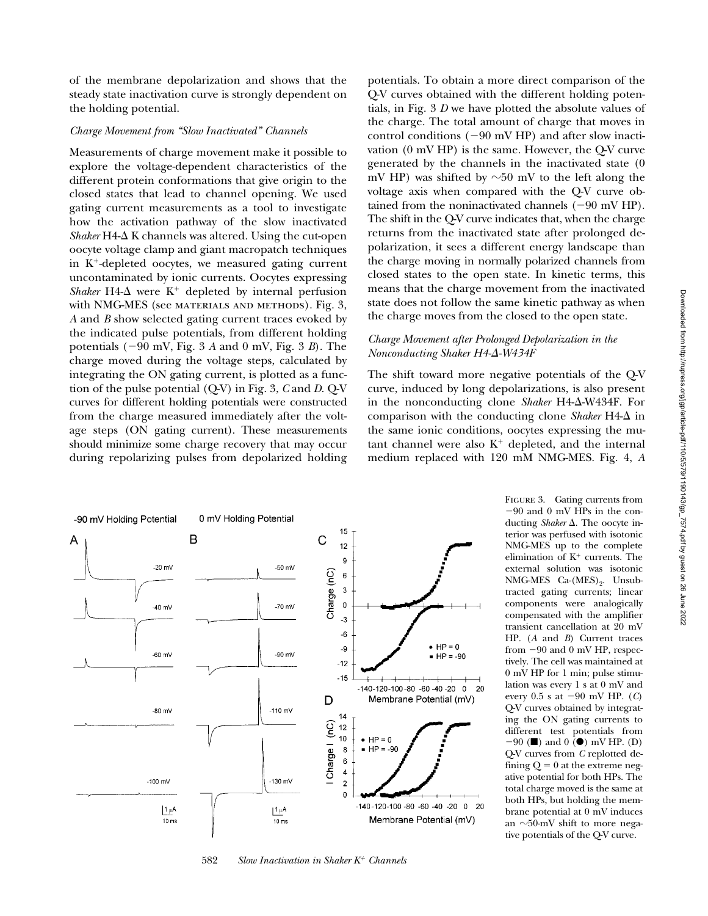# *Charge Movement from "Slow Inactivated" Channels*

Measurements of charge movement make it possible to explore the voltage-dependent characteristics of the different protein conformations that give origin to the closed states that lead to channel opening. We used gating current measurements as a tool to investigate how the activation pathway of the slow inactivated  $Shaker H4- \Delta K$  channels was altered. Using the cut-open oocyte voltage clamp and giant macropatch techniques in  $K^+$ -depleted oocytes, we measured gating current uncontaminated by ionic currents. Oocytes expressing *Shaker*  $H4-\Delta$  were  $K^+$  depleted by internal perfusion with NMG-MES (see MATERIALS AND METHODS). Fig. 3, *A* and *B* show selected gating current traces evoked by the indicated pulse potentials, from different holding potentials  $(-90 \text{ mV}, \text{Fig. 3 } A \text{ and } 0 \text{ mV}, \text{Fig. 3 } B)$ . The charge moved during the voltage steps, calculated by integrating the ON gating current, is plotted as a function of the pulse potential (Q-V) in Fig. 3, *C* and *D*. Q-V curves for different holding potentials were constructed from the charge measured immediately after the voltage steps (ON gating current). These measurements should minimize some charge recovery that may occur during repolarizing pulses from depolarized holding

potentials. To obtain a more direct comparison of the Q-V curves obtained with the different holding potentials, in Fig. 3 *D* we have plotted the absolute values of the charge. The total amount of charge that moves in control conditions  $(-90 \text{ mV HP})$  and after slow inactivation (0 mV HP) is the same. However, the Q-V curve generated by the channels in the inactivated state (0 mV HP) was shifted by  $\sim$ 50 mV to the left along the voltage axis when compared with the Q-V curve obtained from the noninactivated channels  $(-90 \text{ mV HP})$ . The shift in the Q-V curve indicates that, when the charge returns from the inactivated state after prolonged depolarization, it sees a different energy landscape than the charge moving in normally polarized channels from closed states to the open state. In kinetic terms, this means that the charge movement from the inactivated state does not follow the same kinetic pathway as when the charge moves from the closed to the open state.

# *Charge Movement after Prolonged Depolarization in the Nonconducting Shaker H4-*D*-W434F*

The shift toward more negative potentials of the Q-V curve, induced by long depolarizations, is also present in the nonconducting clone *Shaker* H4- $\Delta$ -W434F. For comparison with the conducting clone *Shaker*  $H4-\Delta$  in the same ionic conditions, oocytes expressing the mutant channel were also  $K^+$  depleted, and the internal medium replaced with 120 mM NMG-MES. Fig. 4, *A*



582 Slow Inactivation in Shaker K<sup>+</sup> Channels

FIGURE 3. Gating currents from  $-90$  and 0 mV HPs in the conducting *Shaker*  $\Delta$ . The oocyte interior was perfused with isotonic NMG-MES up to the complete elimination of  $K^+$  currents. The external solution was isotonic NMG-MES Ca-(MES)<sub>9</sub>. Unsubtracted gating currents; linear components were analogically compensated with the amplifier transient cancellation at 20 mV HP. (*A* and *B*) Current traces from  $-90$  and 0 mV HP, respectively. The cell was maintained at 0 mV HP for 1 min; pulse stimulation was every 1 s at 0 mV and every  $0.5$  s at  $-90$  mV HP. (*C*) Q-V curves obtained by integrating the ON gating currents to different test potentials from  $-90$  ( $\blacksquare$ ) and 0 ( $\blacksquare$ ) mV HP. (D) Q-V curves from *C* replotted defining  $Q = 0$  at the extreme negative potential for both HPs. The total charge moved is the same at both HPs, but holding the membrane potential at 0 mV induces an  $\sim$ 50-mV shift to more negative potentials of the Q-V curve.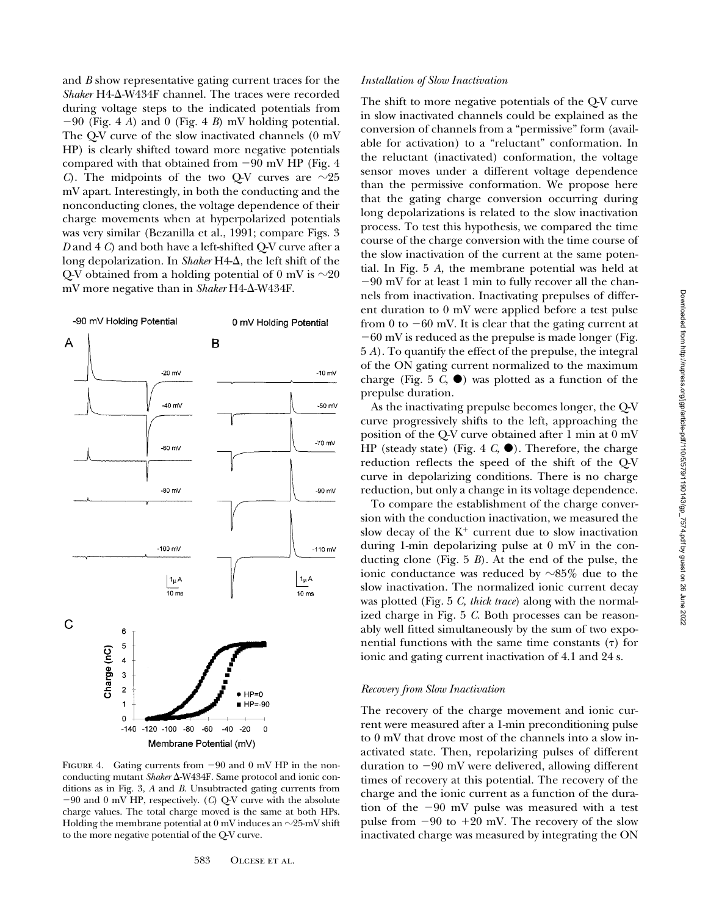and *B* show representative gating current traces for the Shaker H4- $\Delta$ -W434F channel. The traces were recorded during voltage steps to the indicated potentials from  $-90$  (Fig. 4 *A*) and 0 (Fig. 4 *B*) mV holding potential. The Q-V curve of the slow inactivated channels (0 mV HP) is clearly shifted toward more negative potentials compared with that obtained from  $-90$  mV HP (Fig. 4) *C*). The midpoints of the two Q-V curves are  $\sim$ 25 mV apart. Interestingly, in both the conducting and the nonconducting clones, the voltage dependence of their charge movements when at hyperpolarized potentials was very similar (Bezanilla et al., 1991; compare Figs. 3 *D* and 4 *C*) and both have a left-shifted Q-V curve after a long depolarization. In *Shaker* H4- $\Delta$ , the left shift of the Q-V obtained from a holding potential of 0 mV is  $\sim$ 20 mV more negative than in *Shaker* H4-Δ-W434F.



FIGURE 4. Gating currents from  $-90$  and 0 mV HP in the nonconducting mutant *Shaker*  $\Delta$ -W434F. Same protocol and ionic conditions as in Fig. 3, *A* and *B*. Unsubtracted gating currents from 290 and 0 mV HP, respectively. (*C*) Q-V curve with the absolute charge values. The total charge moved is the same at both HPs. Holding the membrane potential at  $0$  mV induces an  $\sim$ 25-mV shift to the more negative potential of the Q-V curve.

## *Installation of Slow Inactivation*

The shift to more negative potentials of the Q-V curve in slow inactivated channels could be explained as the conversion of channels from a "permissive" form (available for activation) to a "reluctant" conformation. In the reluctant (inactivated) conformation, the voltage sensor moves under a different voltage dependence than the permissive conformation. We propose here that the gating charge conversion occurring during long depolarizations is related to the slow inactivation process. To test this hypothesis, we compared the time course of the charge conversion with the time course of the slow inactivation of the current at the same potential. In Fig. 5 *A*, the membrane potential was held at  $-90$  mV for at least 1 min to fully recover all the channels from inactivation. Inactivating prepulses of different duration to 0 mV were applied before a test pulse from 0 to  $-60$  mV. It is clear that the gating current at  $-60$  mV is reduced as the prepulse is made longer (Fig. 5 *A*). To quantify the effect of the prepulse, the integral of the ON gating current normalized to the maximum charge (Fig. 5  $C$ ,  $\bullet$ ) was plotted as a function of the prepulse duration.

As the inactivating prepulse becomes longer, the Q-V curve progressively shifts to the left, approaching the position of the Q-V curve obtained after 1 min at 0 mV HP (steady state) (Fig. 4  $C$ ,  $\bullet$ ). Therefore, the charge reduction reflects the speed of the shift of the Q-V curve in depolarizing conditions. There is no charge reduction, but only a change in its voltage dependence.

To compare the establishment of the charge conversion with the conduction inactivation, we measured the slow decay of the  $K^+$  current due to slow inactivation during 1-min depolarizing pulse at 0 mV in the conducting clone (Fig. 5 *B*). At the end of the pulse, the ionic conductance was reduced by  $\sim 85\%$  due to the slow inactivation. The normalized ionic current decay was plotted (Fig. 5 *C, thick trace*) along with the normalized charge in Fig. 5 *C*. Both processes can be reasonably well fitted simultaneously by the sum of two exponential functions with the same time constants  $(τ)$  for ionic and gating current inactivation of 4.1 and 24 s.

## *Recovery from Slow Inactivation*

The recovery of the charge movement and ionic current were measured after a 1-min preconditioning pulse to 0 mV that drove most of the channels into a slow inactivated state. Then, repolarizing pulses of different duration to  $-90$  mV were delivered, allowing different times of recovery at this potential. The recovery of the charge and the ionic current as a function of the duration of the  $-90$  mV pulse was measured with a test pulse from  $-90$  to  $+20$  mV. The recovery of the slow inactivated charge was measured by integrating the ON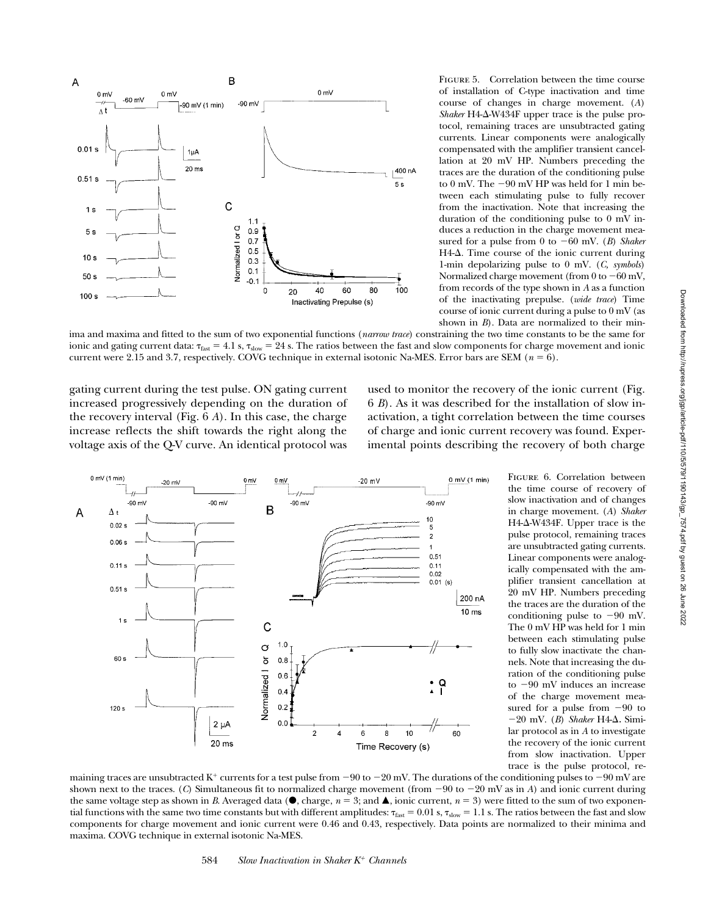

FIGURE 5. Correlation between the time course of installation of C-type inactivation and time course of changes in charge movement. (*A*) Shaker H4-Δ-W434F upper trace is the pulse protocol, remaining traces are unsubtracted gating currents. Linear components were analogically compensated with the amplifier transient cancellation at 20 mV HP. Numbers preceding the traces are the duration of the conditioning pulse to 0 mV. The  $-90$  mV HP was held for 1 min between each stimulating pulse to fully recover from the inactivation. Note that increasing the duration of the conditioning pulse to 0 mV induces a reduction in the charge movement measured for a pulse from 0 to  $-60$  mV. (*B*) Shaker  $H4-\Delta$ . Time course of the ionic current during 1-min depolarizing pulse to 0 mV. (*C, symbols*) Normalized charge movement (from  $0$  to  $-60$  mV, from records of the type shown in *A* as a function of the inactivating prepulse. (*wide trace*) Time course of ionic current during a pulse to 0 mV (as shown in *B*). Data are normalized to their min-

ima and maxima and fitted to the sum of two exponential functions (*narrow trace*) constraining the two time constants to be the same for ionic and gating current data:  $\tau_{\text{fast}} = 4.1$  s,  $\tau_{\text{slow}} = 24$  s. The ratios between the fast and slow components for charge movement and ionic current were 2.15 and 3.7, respectively. COVG technique in external isotonic Na-MES. Error bars are SEM ( $n = 6$ ).

gating current during the test pulse. ON gating current increased progressively depending on the duration of the recovery interval (Fig. 6 *A*). In this case, the charge increase reflects the shift towards the right along the voltage axis of the Q-V curve. An identical protocol was used to monitor the recovery of the ionic current (Fig. 6 *B*). As it was described for the installation of slow inactivation, a tight correlation between the time courses of charge and ionic current recovery was found. Experimental points describing the recovery of both charge



Figure 6. Correlation between the time course of recovery of slow inactivation and of changes in charge movement. (*A*) *Shaker* H4- $\Delta$ -W434F. Upper trace is the pulse protocol, remaining traces are unsubtracted gating currents. Linear components were analogically compensated with the amplifier transient cancellation at 20 mV HP. Numbers preceding the traces are the duration of the conditioning pulse to  $-90$  mV. The 0 mV HP was held for 1 min between each stimulating pulse to fully slow inactivate the channels. Note that increasing the duration of the conditioning pulse to  $-90$  mV induces an increase of the charge movement measured for a pulse from  $-90$  to  $-20$  mV. (*B*) Shaker H4- $\Delta$ . Similar protocol as in *A* to investigate the recovery of the ionic current from slow inactivation. Upper trace is the pulse protocol, re-

maining traces are unsubtracted K<sup>+</sup> currents for a test pulse from  $-90$  to  $-20$  mV. The durations of the conditioning pulses to  $-90$  mV are shown next to the traces. (*C*) Simultaneous fit to normalized charge movement (from  $-90$  to  $-20$  mV as in *A*) and ionic current during the same voltage step as shown in *B*. Averaged data ( $\bullet$ , charge,  $n = 3$ ; and  $\blacktriangle$ , ionic current,  $n = 3$ ) were fitted to the sum of two exponential functions with the same two time constants but with different amplitudes:  $\tau_{\text{fast}} = 0.01$  s,  $\tau_{\text{slow}} = 1.1$  s. The ratios between the fast and slow components for charge movement and ionic current were 0.46 and 0.43, respectively. Data points are normalized to their minima and maxima. COVG technique in external isotonic Na-MES.

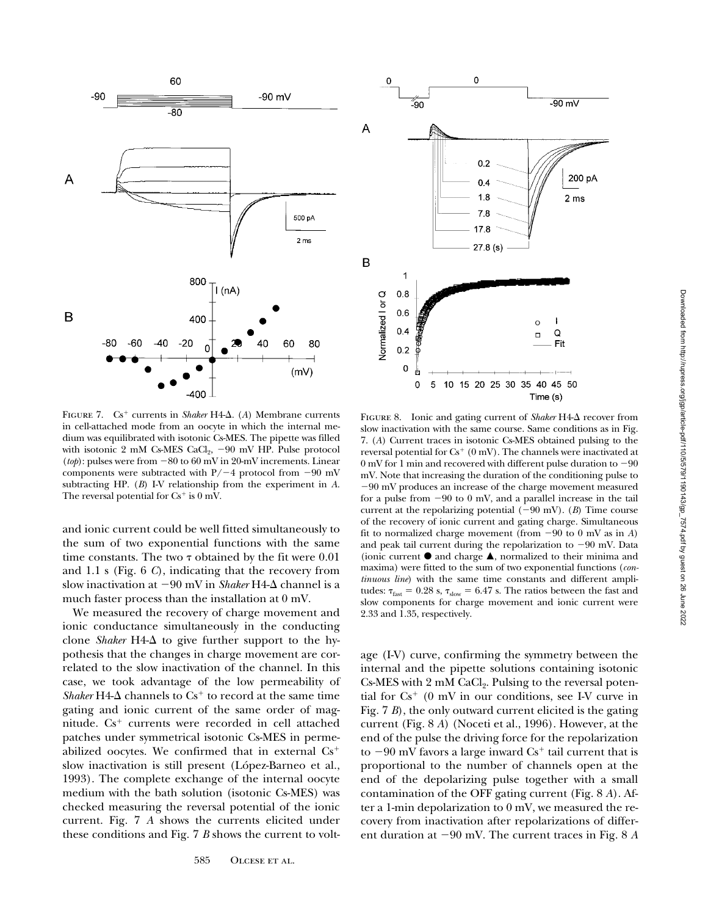



FIGURE 7.  $Cs^+$  currents in *Shaker* H4- $\Delta$ . (*A*) Membrane currents in cell-attached mode from an oocyte in which the internal medium was equilibrated with isotonic Cs-MES. The pipette was filled with isotonic 2 mM Cs-MES CaCl<sub>2</sub>,  $-90$  mV HP. Pulse protocol  $(tob)$ : pulses were from  $-80$  to 60 mV in 20-mV increments. Linear components were subtracted with  $P/-4$  protocol from  $-90$  mV subtracting HP. (*B*) I-V relationship from the experiment in *A*. The reversal potential for  $Cs^+$  is 0 mV.

and ionic current could be well fitted simultaneously to the sum of two exponential functions with the same time constants. The two  $\tau$  obtained by the fit were 0.01 and 1.1 s (Fig. 6 *C*), indicating that the recovery from slow inactivation at  $-90$  mV in *Shaker* H4- $\Delta$  channel is a much faster process than the installation at 0 mV.

We measured the recovery of charge movement and ionic conductance simultaneously in the conducting clone *Shaker*  $H4-\Delta$  to give further support to the hypothesis that the changes in charge movement are correlated to the slow inactivation of the channel. In this case, we took advantage of the low permeability of *Shaker*  $H4-\Delta$  channels to  $Cs^+$  to record at the same time gating and ionic current of the same order of magnitude.  $Cs^+$  currents were recorded in cell attached patches under symmetrical isotonic Cs-MES in permeabilized oocytes. We confirmed that in external  $Cs<sup>+</sup>$ slow inactivation is still present (López-Barneo et al., 1993). The complete exchange of the internal oocyte medium with the bath solution (isotonic Cs-MES) was checked measuring the reversal potential of the ionic current. Fig. 7 *A* shows the currents elicited under these conditions and Fig. 7 *B* shows the current to volt-

FIGURE 8. Ionic and gating current of *Shaker* H4- $\Delta$  recover from slow inactivation with the same course. Same conditions as in Fig. 7. (*A*) Current traces in isotonic Cs-MES obtained pulsing to the reversal potential for  $Cs^+$  (0 mV). The channels were inactivated at  $0$  mV for 1 min and recovered with different pulse duration to  $-90$ mV. Note that increasing the duration of the conditioning pulse to  $-90$  mV produces an increase of the charge movement measured for a pulse from  $-90$  to 0 mV, and a parallel increase in the tail current at the repolarizing potential  $(-90 \text{ mV})$ . (*B*) Time course of the recovery of ionic current and gating charge. Simultaneous fit to normalized charge movement (from  $-90$  to 0 mV as in *A*) and peak tail current during the repolarization to  $-90$  mV. Data (ionic current  $\bullet$  and charge  $\blacktriangle$ , normalized to their minima and maxima) were fitted to the sum of two exponential functions (*continuous line*) with the same time constants and different amplitudes:  $\tau_{\text{fast}} = 0.28$  s,  $\tau_{\text{slow}} = 6.47$  s. The ratios between the fast and slow components for charge movement and ionic current were 2.33 and 1.35, respectively.

age (I-V) curve, confirming the symmetry between the internal and the pipette solutions containing isotonic  $Cs$ -MES with  $2 \text{ mM } CaCl<sub>2</sub>$ . Pulsing to the reversal potential for  $Cs^+$  (0 mV in our conditions, see I-V curve in Fig. 7 *B*), the only outward current elicited is the gating current (Fig. 8 *A*) (Noceti et al., 1996). However, at the end of the pulse the driving force for the repolarization to  $-90$  mV favors a large inward  $Cs<sup>+</sup>$  tail current that is proportional to the number of channels open at the end of the depolarizing pulse together with a small contamination of the OFF gating current (Fig. 8 *A*). After a 1-min depolarization to 0 mV, we measured the recovery from inactivation after repolarizations of different duration at  $-90$  mV. The current traces in Fig. 8  $A$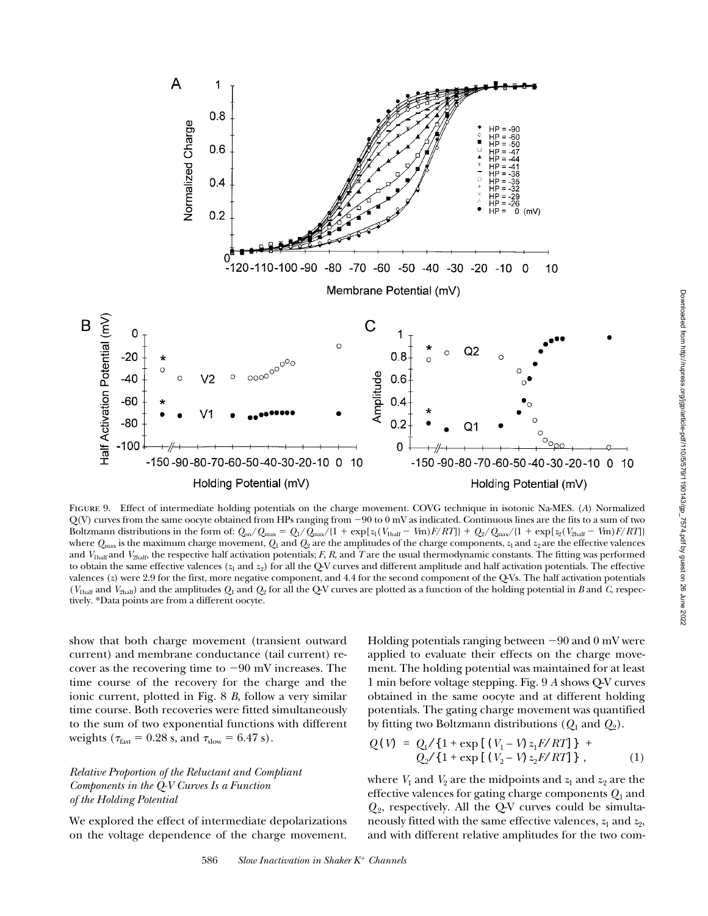

Figure 9. Effect of intermediate holding potentials on the charge movement. COVG technique in isotonic Na-MES. (*A*) Normalized  $Q(V)$  curves from the same oocyte obtained from HPs ranging from  $-90$  to  $0$  mV as indicated. Continuous lines are the fits to a sum of two Boltzmann distributions in the form of:  $Q_{on}/Q_{max} = Q_1/Q_{max}/(1 + \exp[z_1(V_{half} - Vm)F/RT]) + Q_2/Q_{max}/(1 + \exp[z_2(V_{2half} - Vm)F/RT])$ where  $Q_{\text{max}}$  is the maximum charge movement,  $Q_1$  and  $Q_2$  are the amplitudes of the charge components,  $z_1$  and  $z_2$  are the effective valences and  $V_{\text{Inalf}}$  and  $V_{\text{2half}}$ , the respective half activation potentials; *F*, *R*, and *T* are the usual thermodynamic constants. The fitting was performed to obtain the same effective valences  $(z_1 \text{ and } z_2)$  for all the Q-V curves and different amplitude and half activation potentials. The effective valences (*z*) were 2.9 for the first, more negative component, and 4.4 for the second component of the Q-Vs. The half activation potentials  $(V_{\text{half}}$  and  $V_{\text{2half}})$  and the amplitudes  $Q_1$  and  $Q_2$  for all the Q-V curves are plotted as a function of the holding potential in *B* and *C*, respectively. \*Data points are from a different oocyte.

show that both charge movement (transient outward current) and membrane conductance (tail current) recover as the recovering time to  $-90$  mV increases. The time course of the recovery for the charge and the ionic current, plotted in Fig. 8 *B*, follow a very similar time course. Both recoveries were fitted simultaneously to the sum of two exponential functions with different weights ( $\tau_{\text{fast}} = 0.28$  s, and  $\tau_{\text{slow}} = 6.47$  s).

*Relative Proportion of the Reluctant and Compliant Components in the Q-V Curves Is a Function of the Holding Potential*

We explored the effect of intermediate depolarizations on the voltage dependence of the charge movement. Holding potentials ranging between  $-90$  and 0 mV were applied to evaluate their effects on the charge movement. The holding potential was maintained for at least 1 min before voltage stepping. Fig. 9 *A* shows Q-V curves obtained in the same oocyte and at different holding potentials. The gating charge movement was quantified by fitting two Boltzmann distributions (*Q*1 and *Q*2).

$$
Q(V) = Q_1 / \{ 1 + \exp[(V_1 - V) z_1 F / RT] \} +Q_2 / \{ 1 + \exp[(V_2 - V) z_2 F / RT] \},
$$
 (1)

where  $V_1$  and  $V_2$  are the midpoints and  $z_1$  and  $z_2$  are the effective valences for gating charge components *Q*1 and  $Q_2$ , respectively. All the Q-V curves could be simultaneously fitted with the same effective valences,  $z_1$  and  $z_2$ , and with different relative amplitudes for the two com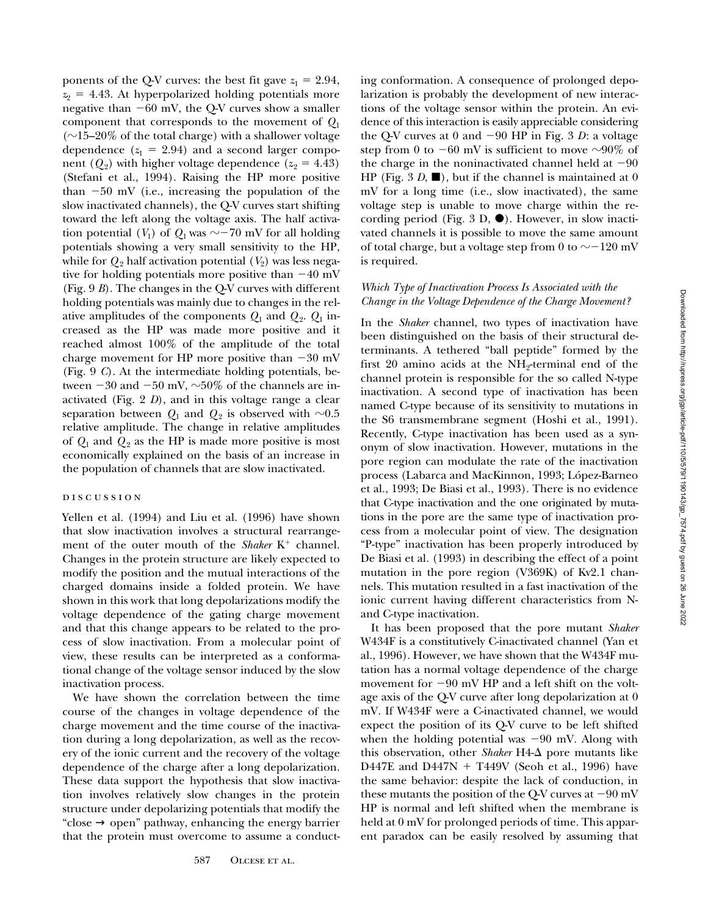ponents of the Q-V curves: the best fit gave  $z_1 = 2.94$ ,  $z_2$  = 4.43. At hyperpolarized holding potentials more negative than  $-60$  mV, the Q-V curves show a smaller component that corresponds to the movement of *Q*<sup>1</sup>  $(\sim]15-20\%$  of the total charge) with a shallower voltage dependence  $(z_1 = 2.94)$  and a second larger component  $(Q_2)$  with higher voltage dependence  $(z_2 = 4.43)$ (Stefani et al., 1994). Raising the HP more positive than  $-50$  mV (i.e., increasing the population of the slow inactivated channels), the Q-V curves start shifting toward the left along the voltage axis. The half activation potential ( $V_1$ ) of  $Q_1$  was  $\sim$  -70 mV for all holding potentials showing a very small sensitivity to the HP, while for  $Q_2$  half activation potential  $(V_2)$  was less negative for holding potentials more positive than  $-40$  mV (Fig. 9 *B*). The changes in the Q-V curves with different holding potentials was mainly due to changes in the relative amplitudes of the components  $Q_1$  and  $Q_2$ .  $Q_1$  increased as the HP was made more positive and it reached almost 100% of the amplitude of the total charge movement for HP more positive than  $-30$  mV (Fig. 9 *C*). At the intermediate holding potentials, between  $-30$  and  $-50$  mV,  $\sim 50\%$  of the channels are inactivated (Fig. 2 *D*), and in this voltage range a clear separation between  $Q_1$  and  $Q_2$  is observed with  $\sim 0.5$ relative amplitude. The change in relative amplitudes of  $Q_1$  and  $Q_2$  as the HP is made more positive is most economically explained on the basis of an increase in the population of channels that are slow inactivated.

## DISCUSSION

Yellen et al. (1994) and Liu et al. (1996) have shown that slow inactivation involves a structural rearrangement of the outer mouth of the *Shaker*  $K^+$  channel. Changes in the protein structure are likely expected to modify the position and the mutual interactions of the charged domains inside a folded protein. We have shown in this work that long depolarizations modify the voltage dependence of the gating charge movement and that this change appears to be related to the process of slow inactivation. From a molecular point of view, these results can be interpreted as a conformational change of the voltage sensor induced by the slow inactivation process.

We have shown the correlation between the time course of the changes in voltage dependence of the charge movement and the time course of the inactivation during a long depolarization, as well as the recovery of the ionic current and the recovery of the voltage dependence of the charge after a long depolarization. These data support the hypothesis that slow inactivation involves relatively slow changes in the protein structure under depolarizing potentials that modify the "close  $\rightarrow$  open" pathway, enhancing the energy barrier that the protein must overcome to assume a conducting conformation. A consequence of prolonged depolarization is probably the development of new interactions of the voltage sensor within the protein. An evidence of this interaction is easily appreciable considering the Q-V curves at 0 and  $-90$  HP in Fig. 3 *D*: a voltage step from 0 to  $-60$  mV is sufficient to move  $\sim 90\%$  of the charge in the noninactivated channel held at  $-90$ HP (Fig.  $3 D$ ,  $\blacksquare$ ), but if the channel is maintained at 0 mV for a long time (i.e., slow inactivated), the same voltage step is unable to move charge within the recording period (Fig. 3 D,  $\bullet$ ). However, in slow inactivated channels it is possible to move the same amount of total charge, but a voltage step from 0 to  $\sim$  -120 mV is required.

## *Which Type of Inactivation Process Is Associated with the Change in the Voltage Dependence of the Charge Movement?*

In the *Shaker* channel, two types of inactivation have been distinguished on the basis of their structural determinants. A tethered "ball peptide" formed by the first  $20$  amino acids at the NH<sub>2</sub>-terminal end of the channel protein is responsible for the so called N-type inactivation. A second type of inactivation has been named C-type because of its sensitivity to mutations in the S6 transmembrane segment (Hoshi et al., 1991). Recently, C-type inactivation has been used as a synonym of slow inactivation. However, mutations in the pore region can modulate the rate of the inactivation process (Labarca and MacKinnon, 1993; López-Barneo et al., 1993; De Biasi et al., 1993). There is no evidence that C-type inactivation and the one originated by mutations in the pore are the same type of inactivation process from a molecular point of view. The designation "P-type" inactivation has been properly introduced by De Biasi et al. (1993) in describing the effect of a point mutation in the pore region (V369K) of Kv2.1 channels. This mutation resulted in a fast inactivation of the ionic current having different characteristics from Nand C-type inactivation.

It has been proposed that the pore mutant *Shaker* W434F is a constitutively C-inactivated channel (Yan et al., 1996). However, we have shown that the W434F mutation has a normal voltage dependence of the charge movement for  $-90$  mV HP and a left shift on the voltage axis of the Q-V curve after long depolarization at 0 mV. If W434F were a C-inactivated channel, we would expect the position of its Q-V curve to be left shifted when the holding potential was  $-90$  mV. Along with this observation, other *Shaker*  $H4-\Delta$  pore mutants like D447E and D447N  $+$  T449V (Seoh et al., 1996) have the same behavior: despite the lack of conduction, in these mutants the position of the Q-V curves at  $-90$  mV HP is normal and left shifted when the membrane is held at 0 mV for prolonged periods of time. This apparent paradox can be easily resolved by assuming that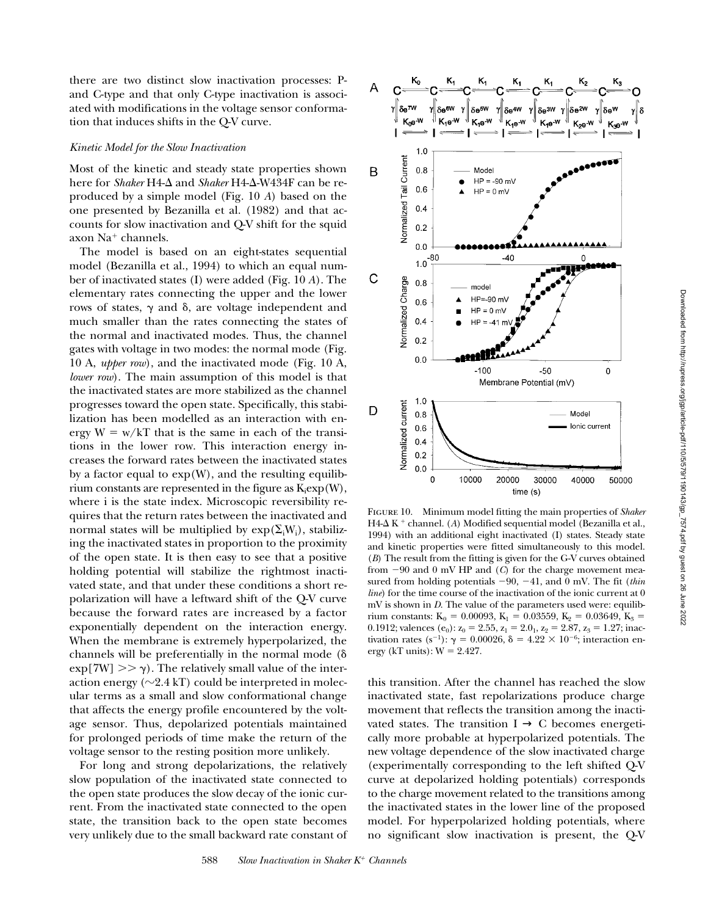there are two distinct slow inactivation processes: Pand C-type and that only C-type inactivation is associated with modifications in the voltage sensor conformation that induces shifts in the Q-V curve.

## *Kinetic Model for the Slow Inactivation*

Most of the kinetic and steady state properties shown here for *Shaker* H4-Δ and *Shaker* H4-Δ-W434F can be reproduced by a simple model (Fig. 10 *A*) based on the one presented by Bezanilla et al. (1982) and that accounts for slow inactivation and Q-V shift for the squid axon  $Na<sup>+</sup> channels.$ 

The model is based on an eight-states sequential model (Bezanilla et al., 1994) to which an equal number of inactivated states (I) were added (Fig. 10 *A*). The elementary rates connecting the upper and the lower rows of states,  $\gamma$  and  $\delta$ , are voltage independent and much smaller than the rates connecting the states of the normal and inactivated modes. Thus, the channel gates with voltage in two modes: the normal mode (Fig. 10 A, *upper row*), and the inactivated mode (Fig. 10 A, *lower row*). The main assumption of this model is that the inactivated states are more stabilized as the channel progresses toward the open state. Specifically, this stabilization has been modelled as an interaction with energy  $W = w/kT$  that is the same in each of the transitions in the lower row. This interaction energy increases the forward rates between the inactivated states by a factor equal to  $exp(W)$ , and the resulting equilibrium constants are represented in the figure as  $K_i exp(W)$ , where i is the state index. Microscopic reversibility requires that the return rates between the inactivated and normal states will be multiplied by  $exp(\Sigma_i W_i)$ , stabilizing the inactivated states in proportion to the proximity of the open state. It is then easy to see that a positive holding potential will stabilize the rightmost inactivated state, and that under these conditions a short repolarization will have a leftward shift of the Q-V curve because the forward rates are increased by a factor exponentially dependent on the interaction energy. When the membrane is extremely hyperpolarized, the channels will be preferentially in the normal mode  $(\delta)$  $\exp[7W] >> \gamma$ . The relatively small value of the interaction energy ( $\sim$ 2.4 kT) could be interpreted in molecular terms as a small and slow conformational change that affects the energy profile encountered by the voltage sensor. Thus, depolarized potentials maintained for prolonged periods of time make the return of the voltage sensor to the resting position more unlikely.

For long and strong depolarizations, the relatively slow population of the inactivated state connected to the open state produces the slow decay of the ionic current. From the inactivated state connected to the open state, the transition back to the open state becomes very unlikely due to the small backward rate constant of



Figure 10. Minimum model fitting the main properties of *Shaker*  $H4-\Delta K$ <sup>+</sup> channel. (*A*) Modified sequential model (Bezanilla et al., 1994) with an additional eight inactivated (I) states. Steady state and kinetic properties were fitted simultaneously to this model. (*B*) The result from the fitting is given for the G-V curves obtained from  $-90$  and 0 mV HP and (*C*) for the charge movement measured from holding potentials  $-90$ ,  $-41$ , and 0 mV. The fit (*thin*) *line*) for the time course of the inactivation of the ionic current at 0 mV is shown in *D*. The value of the parameters used were: equilibrium constants: K<sub>0</sub> = 0.00093, K<sub>1</sub> = 0.03559, K<sub>2</sub> = 0.03649, K<sub>3</sub> = 0.1912; valences (e<sub>0</sub>):  $z_0 = 2.55$ ,  $z_1 = 2.0_1$ ,  $z_2 = 2.87$ ,  $z_3 = 1.27$ ; inactivation rates (s<sup>-1</sup>):  $\gamma = 0.00026$ ,  $\delta = 4.22 \times 10^{-6}$ ; interaction energy (kT units):  $W = 2.427$ .

this transition. After the channel has reached the slow inactivated state, fast repolarizations produce charge movement that reflects the transition among the inactivated states. The transition  $I \rightarrow C$  becomes energetically more probable at hyperpolarized potentials. The new voltage dependence of the slow inactivated charge (experimentally corresponding to the left shifted Q-V curve at depolarized holding potentials) corresponds to the charge movement related to the transitions among the inactivated states in the lower line of the proposed model. For hyperpolarized holding potentials, where no significant slow inactivation is present, the Q-V